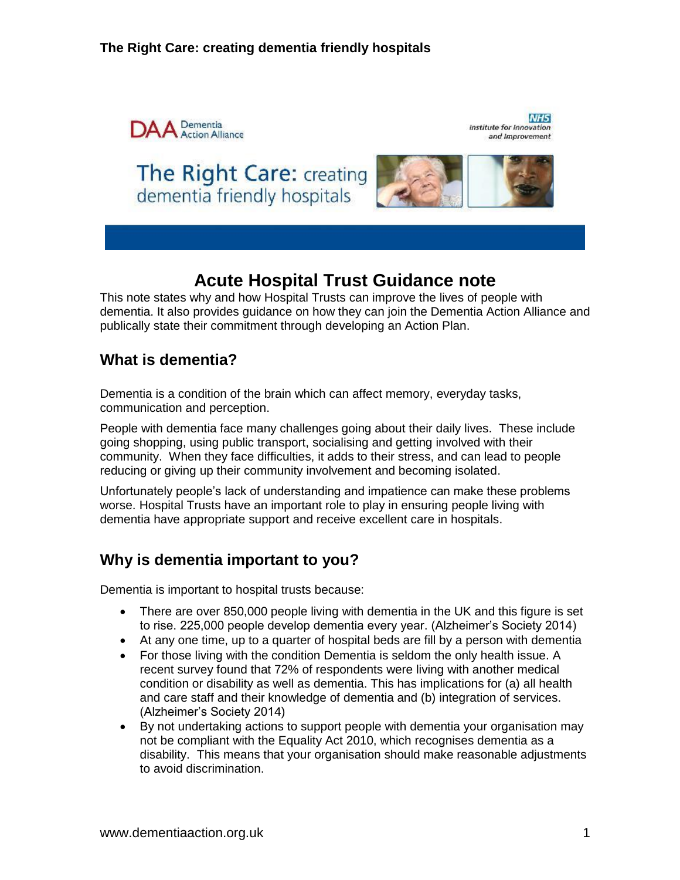

NH<sub>5</sub> Institute for Innovation and Improvement





# **Acute Hospital Trust Guidance note**

This note states why and how Hospital Trusts can improve the lives of people with dementia. It also provides guidance on how they can join the Dementia Action Alliance and publically state their commitment through developing an Action Plan.

# **What is dementia?**

Dementia is a condition of the brain which can affect memory, everyday tasks, communication and perception.

People with dementia face many challenges going about their daily lives. These include going shopping, using public transport, socialising and getting involved with their community. When they face difficulties, it adds to their stress, and can lead to people reducing or giving up their community involvement and becoming isolated.

Unfortunately people's lack of understanding and impatience can make these problems worse. Hospital Trusts have an important role to play in ensuring people living with dementia have appropriate support and receive excellent care in hospitals.

# **Why is dementia important to you?**

Dementia is important to hospital trusts because:

- There are over 850,000 people living with dementia in the UK and this figure is set to rise. 225,000 people develop dementia every year. (Alzheimer's Society 2014)
- At any one time, up to a quarter of hospital beds are fill by a person with dementia
- For those living with the condition Dementia is seldom the only health issue. A recent survey found that 72% of respondents were living with another medical condition or disability as well as dementia. This has implications for (a) all health and care staff and their knowledge of dementia and (b) integration of services. (Alzheimer's Society 2014)
- By not undertaking actions to support people with dementia your organisation may not be compliant with the Equality Act 2010, which recognises dementia as a disability. This means that your organisation should make reasonable adjustments to avoid discrimination.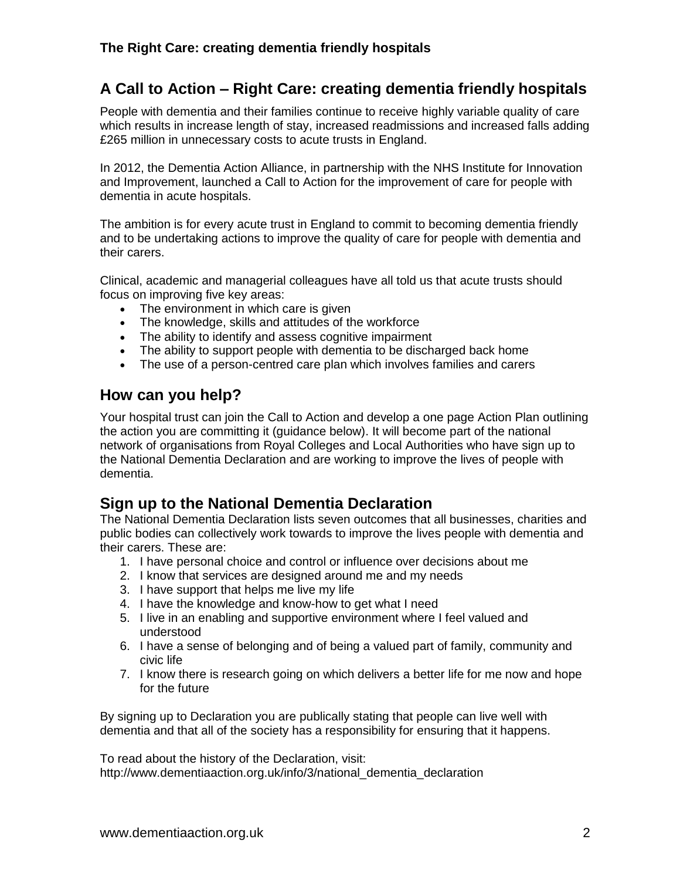# **A Call to Action – Right Care: creating dementia friendly hospitals**

People with dementia and their families continue to receive highly variable quality of care which results in increase length of stay, increased readmissions and increased falls adding £265 million in unnecessary costs to acute trusts in England.

In 2012, the Dementia Action Alliance, in partnership with the NHS Institute for Innovation and Improvement, launched a Call to Action for the improvement of care for people with dementia in acute hospitals.

The ambition is for every acute trust in England to commit to becoming dementia friendly and to be undertaking actions to improve the quality of care for people with dementia and their carers.

Clinical, academic and managerial colleagues have all told us that acute trusts should focus on improving five key areas:

- The environment in which care is given
- The knowledge, skills and attitudes of the workforce
- The ability to identify and assess cognitive impairment
- The ability to support people with dementia to be discharged back home
- The use of a person-centred care plan which involves families and carers

### **How can you help?**

Your hospital trust can join the Call to Action and develop a one page Action Plan outlining the action you are committing it (guidance below). It will become part of the national network of organisations from Royal Colleges and Local Authorities who have sign up to the National Dementia Declaration and are working to improve the lives of people with dementia.

## **Sign up to the National Dementia Declaration**

The National Dementia Declaration lists seven outcomes that all businesses, charities and public bodies can collectively work towards to improve the lives people with dementia and their carers. These are:

- 1. I have personal choice and control or influence over decisions about me
- 2. I know that services are designed around me and my needs
- 3. I have support that helps me live my life
- 4. I have the knowledge and know-how to get what I need
- 5. I live in an enabling and supportive environment where I feel valued and understood
- 6. I have a sense of belonging and of being a valued part of family, community and civic life
- 7. I know there is research going on which delivers a better life for me now and hope for the future

By signing up to Declaration you are publically stating that people can live well with dementia and that all of the society has a responsibility for ensuring that it happens.

To read about the history of the Declaration, visit: http://www.dementiaaction.org.uk/info/3/national dementia declaration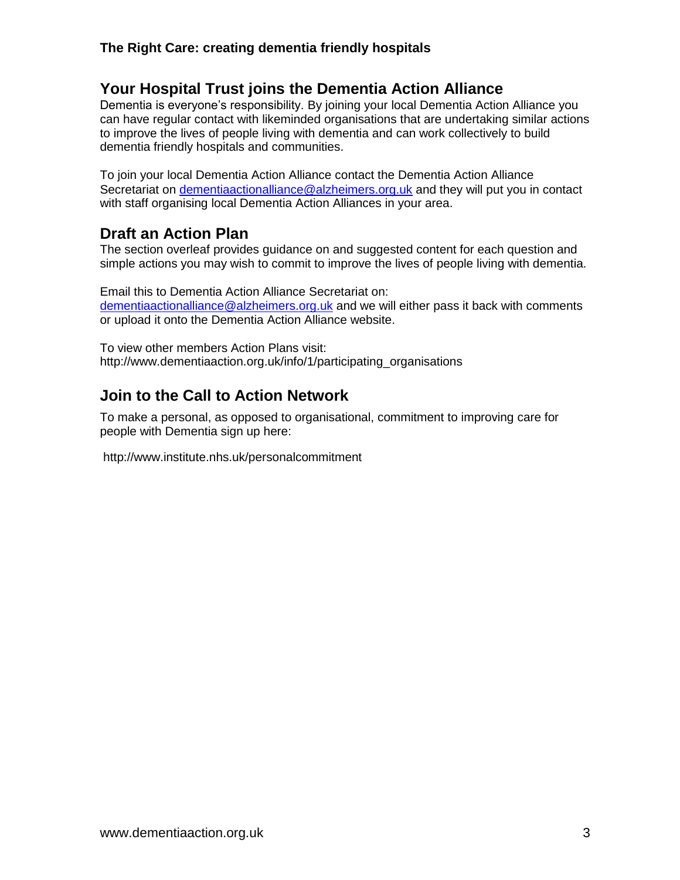### **The Right Care: creating dementia friendly hospitals**

## **Your Hospital Trust joins the Dementia Action Alliance**

Dementia is everyone's responsibility. By joining your local Dementia Action Alliance you can have regular contact with likeminded organisations that are undertaking similar actions to improve the lives of people living with dementia and can work collectively to build dementia friendly hospitals and communities.

To join your local Dementia Action Alliance contact the Dementia Action Alliance Secretariat on [dementiaactionalliance@alzheimers.org.uk](mailto:dementiaactionalliance@alzheimers.org.uk) and they will put you in contact with staff organising local Dementia Action Alliances in your area.

## **Draft an Action Plan**

The section overleaf provides guidance on and suggested content for each question and simple actions you may wish to commit to improve the lives of people living with dementia.

Email this to Dementia Action Alliance Secretariat on: [dementiaactionalliance@alzheimers.org.uk](mailto:dementiaactionalliance@alzheimers.org.uk) and we will either pass it back with comments or upload it onto the Dementia Action Alliance website.

To view other members Action Plans visit: http://www.dementiaaction.org.uk/info/1/participating\_organisations

## **Join to the Call to Action Network**

To make a personal, as opposed to organisational, commitment to improving care for people with Dementia sign up here:

<http://www.institute.nhs.uk/personalcommitment>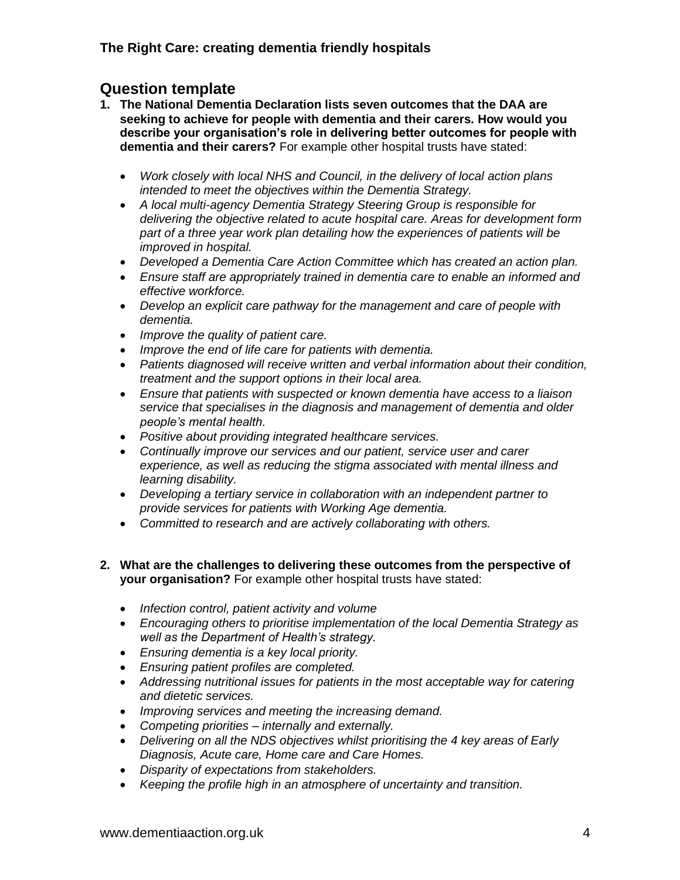## **Question template**

- **1. The National Dementia Declaration lists seven outcomes that the DAA are seeking to achieve for people with dementia and their carers. How would you describe your organisation's role in delivering better outcomes for people with dementia and their carers?** For example other hospital trusts have stated:
	- *Work closely with local NHS and Council, in the delivery of local action plans intended to meet the objectives within the Dementia Strategy.*
	- *A local multi-agency Dementia Strategy Steering Group is responsible for delivering the objective related to acute hospital care. Areas for development form part of a three year work plan detailing how the experiences of patients will be improved in hospital.*
	- *Developed a Dementia Care Action Committee which has created an action plan.*
	- *Ensure staff are appropriately trained in dementia care to enable an informed and effective workforce.*
	- *Develop an explicit care pathway for the management and care of people with dementia.*
	- *Improve the quality of patient care.*
	- *Improve the end of life care for patients with dementia.*
	- *Patients diagnosed will receive written and verbal information about their condition, treatment and the support options in their local area.*
	- *Ensure that patients with suspected or known dementia have access to a liaison service that specialises in the diagnosis and management of dementia and older people"s mental health.*
	- *Positive about providing integrated healthcare services.*
	- *Continually improve our services and our patient, service user and carer experience, as well as reducing the stigma associated with mental illness and learning disability.*
	- *Developing a tertiary service in collaboration with an independent partner to provide services for patients with Working Age dementia.*
	- *Committed to research and are actively collaborating with others.*

#### **2. What are the challenges to delivering these outcomes from the perspective of your organisation?** For example other hospital trusts have stated:

- *Infection control, patient activity and volume*
- *Encouraging others to prioritise implementation of the local Dementia Strategy as well as the Department of Health"s strategy.*
- *Ensuring dementia is a key local priority.*
- *Ensuring patient profiles are completed.*
- *Addressing nutritional issues for patients in the most acceptable way for catering and dietetic services.*
- *Improving services and meeting the increasing demand.*
- *Competing priorities – internally and externally.*
- *Delivering on all the NDS objectives whilst prioritising the 4 key areas of Early Diagnosis, Acute care, Home care and Care Homes.*
- *Disparity of expectations from stakeholders.*
- *Keeping the profile high in an atmosphere of uncertainty and transition.*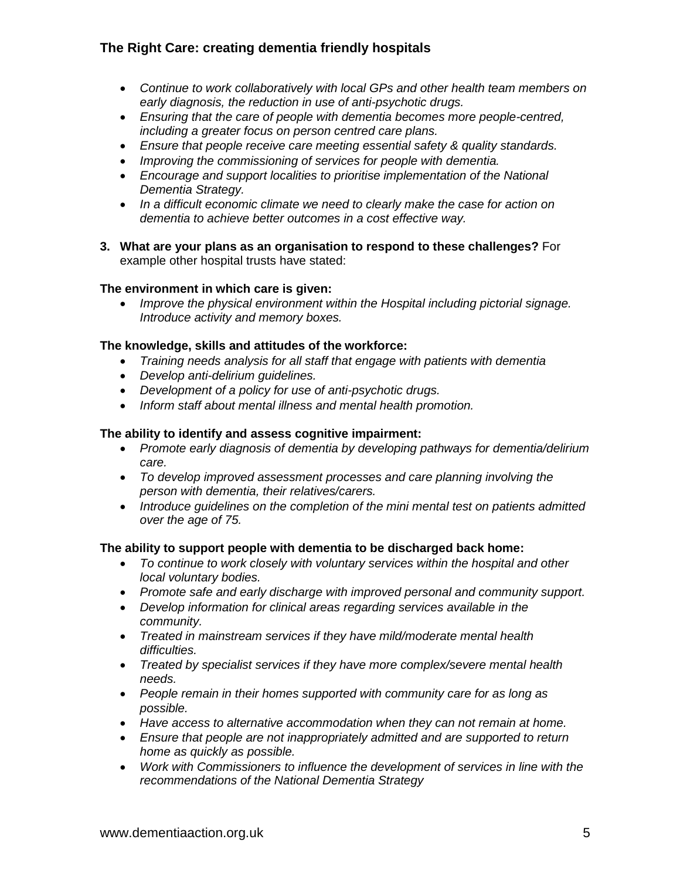### **The Right Care: creating dementia friendly hospitals**

- *Continue to work collaboratively with local GPs and other health team members on early diagnosis, the reduction in use of anti-psychotic drugs.*
- *Ensuring that the care of people with dementia becomes more people-centred, including a greater focus on person centred care plans.*
- *Ensure that people receive care meeting essential safety & quality standards.*
- *Improving the commissioning of services for people with dementia.*
- *Encourage and support localities to prioritise implementation of the National Dementia Strategy.*
- *In a difficult economic climate we need to clearly make the case for action on dementia to achieve better outcomes in a cost effective way.*
- **3. What are your plans as an organisation to respond to these challenges?** For example other hospital trusts have stated:

### **The environment in which care is given:**

 *Improve the physical environment within the Hospital including pictorial signage. Introduce activity and memory boxes.*

#### **The knowledge, skills and attitudes of the workforce:**

- *Training needs analysis for all staff that engage with patients with dementia*
- *Develop anti-delirium guidelines.*
- *Development of a policy for use of anti-psychotic drugs.*
- *Inform staff about mental illness and mental health promotion.*

### **The ability to identify and assess cognitive impairment:**

- *Promote early diagnosis of dementia by developing pathways for dementia/delirium care.*
- *To develop improved assessment processes and care planning involving the person with dementia, their relatives/carers.*
- *Introduce guidelines on the completion of the mini mental test on patients admitted over the age of 75.*

#### **The ability to support people with dementia to be discharged back home:**

- *To continue to work closely with voluntary services within the hospital and other local voluntary bodies.*
- *Promote safe and early discharge with improved personal and community support.*
- *Develop information for clinical areas regarding services available in the community.*
- *Treated in mainstream services if they have mild/moderate mental health difficulties.*
- *Treated by specialist services if they have more complex/severe mental health needs.*
- *People remain in their homes supported with community care for as long as possible.*
- *Have access to alternative accommodation when they can not remain at home.*
- *Ensure that people are not inappropriately admitted and are supported to return home as quickly as possible.*
- *Work with Commissioners to influence the development of services in line with the recommendations of the National Dementia Strategy*